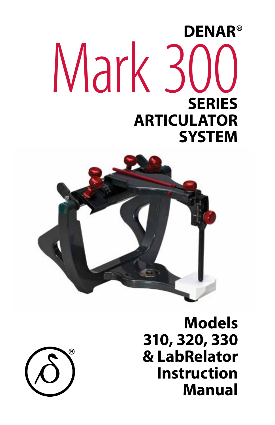# **DENAR**® Mark 300 **SERIES ARTICULATOR SYSTEM**





**Models 310, 320, 330 & LabRelator Instruction Manual**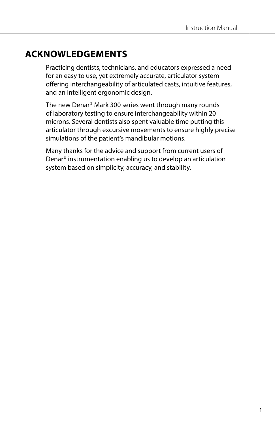# **ACKNOWLEDGEMENTS**

Practicing dentists, technicians, and educators expressed a need for an easy to use, yet extremely accurate, articulator system offering interchangeability of articulated casts, intuitive features, and an intelligent ergonomic design.

The new Denar® Mark 300 series went through many rounds of laboratory testing to ensure interchangeability within 20 microns. Several dentists also spent valuable time putting this articulator through excursive movements to ensure highly precise simulations of the patient's mandibular motions.

Many thanks for the advice and support from current users of Denar® instrumentation enabling us to develop an articulation system based on simplicity, accuracy, and stability.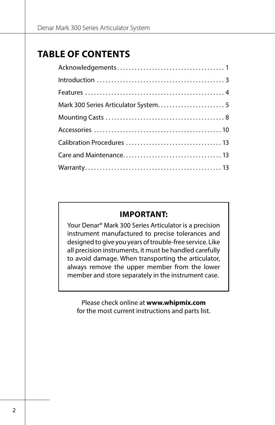# **TABLE OF CONTENTS**

### **IMPORTANT:**

Your Denar® Mark 300 Series Articulator is a precision instrument manufactured to precise tolerances and designed to give you years of trouble-free service. Like all precision instruments, it must be handled carefully to avoid damage. When transporting the articulator, always remove the upper member from the lower member and store separately in the instrument case.

Please check online at **www.whipmix.com** for the most current instructions and parts list.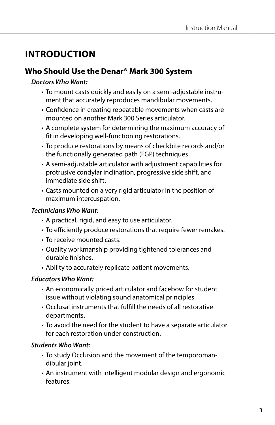# **INTRODUCTION**

### **Who Should Use the Denar® Mark 300 System**

#### *Doctors Who Want:*

- To mount casts quickly and easily on a semi-adjustable instrument that accurately reproduces mandibular movements.
- Confidence in creating repeatable movements when casts are mounted on another Mark 300 Series articulator.
- A complete system for determining the maximum accuracy of fit in developing well-functioning restorations.
- To produce restorations by means of checkbite records and/or the functionally generated path (FGP) techniques.
- A semi-adjustable articulator with adjustment capabilities for protrusive condylar inclination, progressive side shift, and immediate side shift.
- Casts mounted on a very rigid articulator in the position of maximum intercuspation.

#### *Technicians Who Want:*

- A practical, rigid, and easy to use articulator.
- To efficiently produce restorations that require fewer remakes.
- To receive mounted casts.
- Quality workmanship providing tightened tolerances and durable finishes.
- Ability to accurately replicate patient movements.

#### *Educators Who Want:*

- An economically priced articulator and facebow for student issue without violating sound anatomical principles.
- Occlusal instruments that fulfill the needs of all restorative departments.
- To avoid the need for the student to have a separate articulator for each restoration under construction.

#### *Students Who Want:*

- To study Occlusion and the movement of the temporomandibular joint.
- An instrument with intelligent modular design and ergonomic features.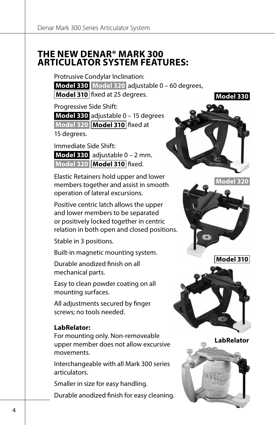### **THE NEW DENAR® MARK 300 ARTICULATOR SYSTEM FEATURES:**

Protrusive Condylar Inclination:

**Model 330 Model 320** adjustable 0 – 60 degrees, **Model 310** fixed at 25 degrees.

Progressive Side Shift:

**Model 330** adjustable 0 – 15 degrees **Model 320 Model 310** fixed at 15 degrees.

Immediate Side Shift:

**Model 330** adjustable 0 – 2 mm. **Model 320 Model 310** fixed.

Elastic Retainers hold upper and lower members together and assist in smooth operation of lateral excursions.

Positive centric latch allows the upper and lower members to be separated or positively locked together in centric relation in both open and closed positions.

Stable in 3 positions.

Built-in magnetic mounting system.

Durable anodized finish on all mechanical parts.

Easy to clean powder coating on all mounting surfaces.

All adjustments secured by finger screws; no tools needed.

#### **LabRelator:**

For mounting only. Non-removeable upper member does not allow excursive movements.

Interchangeable with all Mark 300 series articulators.

Smaller in size for easy handling.

Durable anodized finish for easy cleaning.



**Model 330**







**LabRelator**

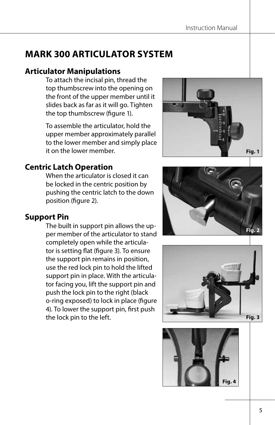# **MARK 300 ARTICULATOR SYSTEM**

# **Articulator Manipulations**

To attach the incisal pin, thread the top thumbscrew into the opening on the front of the upper member until it slides back as far as it will go. Tighten the top thumbscrew (figure 1).

To assemble the articulator, hold the upper member approximately parallel to the lower member and simply place it on the lower member.

# **Centric Latch Operation**

When the articulator is closed it can be locked in the centric position by pushing the centric latch to the down position (figure 2).

# **Support Pin**

The built in support pin allows the upper member of the articulator to stand completely open while the articulator is setting flat (figure 3). To ensure the support pin remains in position, use the red lock pin to hold the lifted support pin in place. With the articulator facing you, lift the support pin and push the lock pin to the right (black o-ring exposed) to lock in place (figure 4). To lower the support pin, first push the lock pin to the left.







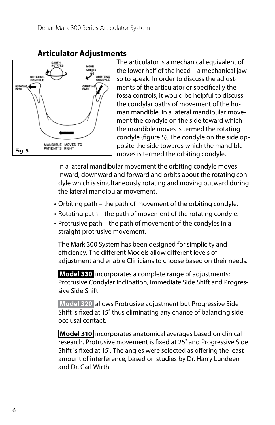### **Articulator Adjustments**



The articulator is a mechanical equivalent of the lower half of the head – a mechanical jaw so to speak. In order to discuss the adjustments of the articulator or specifically the fossa controls, it would be helpful to discuss the condylar paths of movement of the human mandible. In a lateral mandibular movement the condyle on the side toward which the mandible moves is termed the rotating condyle (figure 5). The condyle on the side opposite the side towards which the mandible moves is termed the orbiting condyle.

In a lateral mandibular movement the orbiting condyle moves inward, downward and forward and orbits about the rotating condyle which is simultaneously rotating and moving outward during the lateral mandibular movement.

- Orbiting path the path of movement of the orbiting condyle.
- Rotating path the path of movement of the rotating condyle.
- Protrusive path the path of movement of the condyles in a straight protrusive movement.

The Mark 300 System has been designed for simplicity and efficiency. The different Models allow different levels of adjustment and enable Clinicians to choose based on their needs.

**Model 330** incorporates a complete range of adjustments: Protrusive Condylar Inclination, Immediate Side Shift and Progressive Side Shift.

**Model 320** allows Protrusive adjustment but Progressive Side Shift is fixed at 15˚ thus eliminating any chance of balancing side occlusal contact.

**Model 310** incorporates anatomical averages based on clinical research. Protrusive movement is fixed at 25˚ and Progressive Side Shift is fixed at 15˚. The angles were selected as offering the least amount of interference, based on studies by Dr. Harry Lundeen and Dr. Carl Wirth.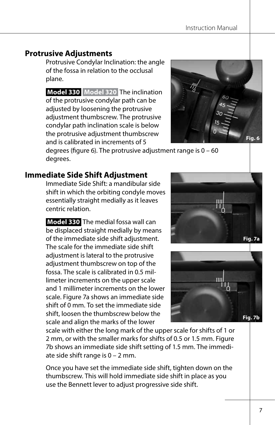### **Protrusive Adjustments**

Protrusive Condylar Inclination: the angle of the fossa in relation to the occlusal plane.

**Model 330 Model 320** The inclination of the protrusive condylar path can be adjusted by loosening the protrusive adjustment thumbscrew. The protrusive condylar path inclination scale is below the protrusive adjustment thumbscrew and is calibrated in increments of 5



degrees (figure 6). The protrusive adjustment range is 0 – 60 degrees.

#### **Immediate Side Shift Adjustment**

Immediate Side Shift: a mandibular side shift in which the orbiting condyle moves essentially straight medially as it leaves centric relation.

**Model 330** The medial fossa wall can be displaced straight medially by means of the immediate side shift adjustment. The scale for the immediate side shift adjustment is lateral to the protrusive adjustment thumbscrew on top of the fossa. The scale is calibrated in 0.5 millimeter increments on the upper scale and 1 millimeter increments on the lower scale. Figure 7a shows an immediate side shift of 0 mm. To set the immediate side shift, loosen the thumbscrew below the scale and align the marks of the lower





scale with either the long mark of the upper scale for shifts of 1 or 2 mm, or with the smaller marks for shifts of 0.5 or 1.5 mm. Figure 7b shows an immediate side shift setting of 1.5 mm. The immediate side shift range is  $0 - 2$  mm.

Once you have set the immediate side shift, tighten down on the thumbscrew. This will hold immediate side shift in place as you use the Bennett lever to adjust progressive side shift.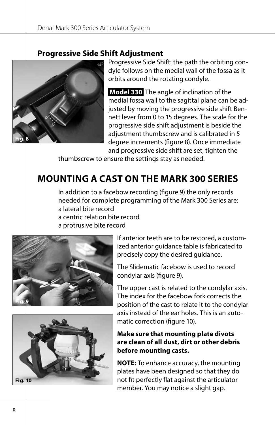### **Progressive Side Shift Adjustment**



Progressive Side Shift: the path the orbiting condyle follows on the medial wall of the fossa as it orbits around the rotating condyle.

**Model 330** The angle of inclination of the medial fossa wall to the sagittal plane can be adjusted by moving the progressive side shift Bennett lever from 0 to 15 degrees. The scale for the progressive side shift adjustment is beside the adjustment thumbscrew and is calibrated in 5 degree increments (figure 8). Once immediate and progressive side shift are set, tighten the

thumbscrew to ensure the settings stay as needed.

# **MOUNTING A CAST ON THE MARK 300 SERIES**

In addition to a facebow recording (figure 9) the only records needed for complete programming of the Mark 300 Series are: a lateral bite record a centric relation bite record

a protrusive bite record





If anterior teeth are to be restored, a customized anterior guidance table is fabricated to precisely copy the desired guidance.

The Slidematic facebow is used to record condylar axis (figure 9).

The upper cast is related to the condylar axis. The index for the facebow fork corrects the position of the cast to relate it to the condylar axis instead of the ear holes. This is an automatic correction (figure 10).

#### **Make sure that mounting plate divots are clean of all dust, dirt or other debris before mounting casts.**

**NOTE:** To enhance accuracy, the mounting plates have been designed so that they do not fit perfectly flat against the articulator member. You may notice a slight gap.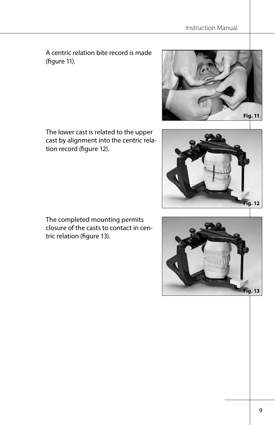A centric relation bite record is made (figure 11).





tion record (figure 12).

The lower cast is related to the upper cast by alignment into the centric rela-

The completed mounting permits closure of the casts to contact in centric relation (figure 13).

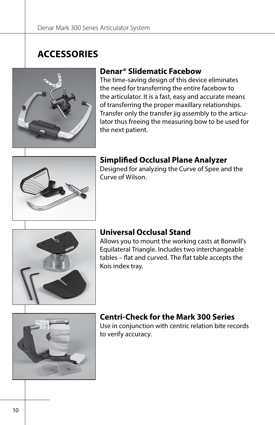# **ACCESSORIES**



### **Denar® Slidematic Facebow**

The time-saving design of this device eliminates the need for transferring the entire facebow to the articulator. It is a fast, easy and accurate means of transferring the proper maxillary relationships. Transfer only the transfer jig assembly to the articulator thus freeing the measuring bow to be used for the next patient.



### **Simplified Occlusal Plane Analyzer**

Designed for analyzing the Curve of Spee and the Curve of Wilson.



### **Universal Occlusal Stand**

Allows you to mount the working casts at Bonwill's Equilateral Triangle. Includes two interchangeable tables – flat and curved. The flat table accepts the Kois index tray.



# **Centri-Check for the Mark 300 Series**

Use in conjunction with centric relation bite records to verify accuracy.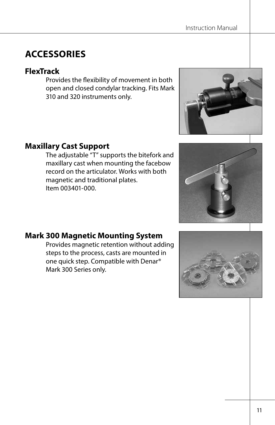# **ACCESSORIES**

### **FlexTrack**

Provides the flexibility of movement in both open and closed condylar tracking. Fits Mark 310 and 320 instruments only.



The adjustable "T" supports the bitefork and maxillary cast when mounting the facebow record on the articulator. Works with both magnetic and traditional plates. Item 003401-000.





# **Mark 300 Magnetic Mounting System**

Provides magnetic retention without adding steps to the process, casts are mounted in one quick step. Compatible with Denar® Mark 300 Series only.

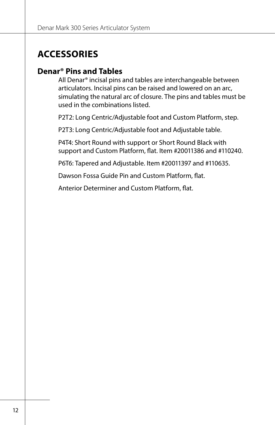# **ACCESSORIES**

### **Denar® Pins and Tables**

All Denar® incisal pins and tables are interchangeable between articulators. Incisal pins can be raised and lowered on an arc, simulating the natural arc of closure. The pins and tables must be used in the combinations listed.

P2T2: Long Centric/Adjustable foot and Custom Platform, step.

P2T3: Long Centric/Adjustable foot and Adjustable table.

P4T4: Short Round with support or Short Round Black with support and Custom Platform, flat. Item #20011386 and #110240.

P6T6: Tapered and Adjustable. Item #20011397 and #110635.

Dawson Fossa Guide Pin and Custom Platform, flat.

Anterior Determiner and Custom Platform, flat.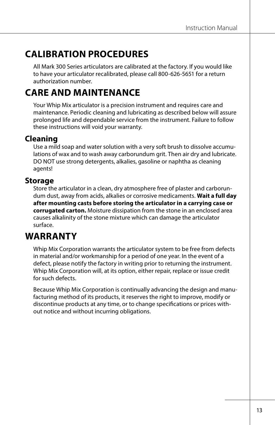# **CALIBRATION PROCEDURES**

All Mark 300 Series articulators are calibrated at the factory. If you would like to have your articulator recalibrated, please call 800-626-5651 for a return authorization number.

# **CARE AND MAINTENANCE**

Your Whip Mix articulator is a precision instrument and requires care and maintenance. Periodic cleaning and lubricating as described below will assure prolonged life and dependable service from the instrument. Failure to follow these instructions will void your warranty.

# **Cleaning**

Use a mild soap and water solution with a very soft brush to dissolve accumulations of wax and to wash away carborundum grit. Then air dry and lubricate. DO NOT use strong detergents, alkalies, gasoline or naphtha as cleaning agents!

### **Storage**

Store the articulator in a clean, dry atmosphere free of plaster and carborundum dust, away from acids, alkalies or corrosive medicaments. **Wait a full day after mounting casts before storing the articulator in a carrying case or corrugated carton.** Moisture dissipation from the stone in an enclosed area causes alkalinity of the stone mixture which can damage the articulator surface.

# **WARRANTY**

Whip Mix Corporation warrants the articulator system to be free from defects in material and/or workmanship for a period of one year. In the event of a defect, please notify the factory in writing prior to returning the instrument. Whip Mix Corporation will, at its option, either repair, replace or issue credit for such defects.

Because Whip Mix Corporation is continually advancing the design and manufacturing method of its products, it reserves the right to improve, modify or discontinue products at any time, or to change specifications or prices without notice and without incurring obligations.